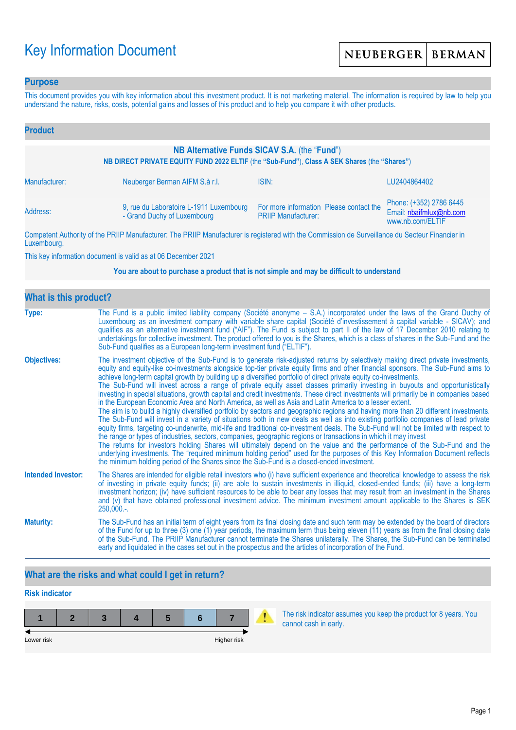# Key Information Document

### **Purpose**

This document provides you with key information about this investment product. It is not marketing material. The information is required by law to help you understand the nature, risks, costs, potential gains and losses of this product and to help you compare it with other products.

| <b>Product</b>                                                                                                                               |                                                                        |                                                                                                                                                                                                                                      |                                                                        |  |  |  |
|----------------------------------------------------------------------------------------------------------------------------------------------|------------------------------------------------------------------------|--------------------------------------------------------------------------------------------------------------------------------------------------------------------------------------------------------------------------------------|------------------------------------------------------------------------|--|--|--|
| NB Alternative Funds SICAV S.A. (the "Fund")<br>NB DIRECT PRIVATE EQUITY FUND 2022 ELTIF (the "Sub-Fund"), Class A SEK Shares (the "Shares") |                                                                        |                                                                                                                                                                                                                                      |                                                                        |  |  |  |
| Manufacturer:                                                                                                                                | Neuberger Berman AIFM S.à r.l.                                         | ISIN:                                                                                                                                                                                                                                | LU2404864402                                                           |  |  |  |
| Address:                                                                                                                                     | 9, rue du Laboratoire L-1911 Luxembourg<br>- Grand Duchy of Luxembourg | For more information Please contact the<br><b>PRIIP Manufacturer:</b>                                                                                                                                                                | Phone: (+352) 2786 6445<br>Email: nbaifmlux@nb.com<br>www.nb.com/ELTIF |  |  |  |
|                                                                                                                                              |                                                                        | <b>THE BRUSH AND AND AND ACCOUNT AND ACCOUNT AND ACCOUNT AND ACCOUNT AND ACCOUNT ACCOUNT AND ACCOUNT ACCOUNT ACCOUNT ACCOUNT ACCOUNT ACCOUNT ACCOUNT ACCOUNT ACCOUNT ACCOUNT ACCOUNT ACCOUNT ACCOUNT ACCOUNT ACCOUNT ACCOUNT ACC</b> |                                                                        |  |  |  |

Competent Authority of the PRIIP Manufacturer: The PRIIP Manufacturer is registered with the Commission de Surveillance du Secteur Financier in Luxembourg.

This key information document is valid as at 06 December 2021

#### **You are about to purchase a product that is not simple and may be difficult to understand**

| <b>What is this product?</b> |                                                                                                                                                                                                                                                                                                                                                                                                                                                                                                                                                                                                                                                                                                                                                                                                                                                                                                                                                                                                                                                                                                                                                                                                                                                                                                                                                                                                                                                                                                                                                                                                                                                                               |  |  |  |  |
|------------------------------|-------------------------------------------------------------------------------------------------------------------------------------------------------------------------------------------------------------------------------------------------------------------------------------------------------------------------------------------------------------------------------------------------------------------------------------------------------------------------------------------------------------------------------------------------------------------------------------------------------------------------------------------------------------------------------------------------------------------------------------------------------------------------------------------------------------------------------------------------------------------------------------------------------------------------------------------------------------------------------------------------------------------------------------------------------------------------------------------------------------------------------------------------------------------------------------------------------------------------------------------------------------------------------------------------------------------------------------------------------------------------------------------------------------------------------------------------------------------------------------------------------------------------------------------------------------------------------------------------------------------------------------------------------------------------------|--|--|--|--|
| Type:                        | The Fund is a public limited liability company (Société anonyme - S.A.) incorporated under the laws of the Grand Duchy of<br>Luxembourg as an investment company with variable share capital (Société d'investissement à capital variable - SICAV); and<br>qualifies as an alternative investment fund ("AIF"). The Fund is subject to part II of the law of 17 December 2010 relating to<br>undertakings for collective investment. The product offered to you is the Shares, which is a class of shares in the Sub-Fund and the<br>Sub-Fund qualifies as a European long-term investment fund ("ELTIF").                                                                                                                                                                                                                                                                                                                                                                                                                                                                                                                                                                                                                                                                                                                                                                                                                                                                                                                                                                                                                                                                    |  |  |  |  |
| <b>Objectives:</b>           | The investment objective of the Sub-Fund is to generate risk-adjusted returns by selectively making direct private investments,<br>equity and equity-like co-investments alongside top-tier private equity firms and other financial sponsors. The Sub-Fund aims to<br>achieve long-term capital growth by building up a diversified portfolio of direct private equity co-investments.<br>The Sub-Fund will invest across a range of private equity asset classes primarily investing in buyouts and opportunistically<br>investing in special situations, growth capital and credit investments. These direct investments will primarily be in companies based<br>in the European Economic Area and North America, as well as Asia and Latin America to a lesser extent.<br>The aim is to build a highly diversified portfolio by sectors and geographic regions and having more than 20 different investments.<br>The Sub-Fund will invest in a variety of situations both in new deals as well as into existing portfolio companies of lead private<br>equity firms, targeting co-underwrite, mid-life and traditional co-investment deals. The Sub-Fund will not be limited with respect to<br>the range or types of industries, sectors, companies, geographic regions or transactions in which it may invest<br>The returns for investors holding Shares will ultimately depend on the value and the performance of the Sub-Fund and the<br>underlying investments. The "required minimum holding period" used for the purposes of this Key Information Document reflects<br>the minimum holding period of the Shares since the Sub-Fund is a closed-ended investment. |  |  |  |  |
| <b>Intended Investor:</b>    | The Shares are intended for eligible retail investors who (i) have sufficient experience and theoretical knowledge to assess the risk<br>of investing in private equity funds; (ii) are able to sustain investments in illiquid, closed-ended funds; (iii) have a long-term<br>investment horizon; (iv) have sufficient resources to be able to bear any losses that may result from an investment in the Shares<br>and (v) that have obtained professional investment advice. The minimum investment amount applicable to the Shares is SEK<br>$250,000.$ -.                                                                                                                                                                                                                                                                                                                                                                                                                                                                                                                                                                                                                                                                                                                                                                                                                                                                                                                                                                                                                                                                                                                 |  |  |  |  |
| <b>Maturity:</b>             | The Sub-Fund has an initial term of eight years from its final closing date and such term may be extended by the board of directors<br>of the Fund for up to three (3) one (1) year periods, the maximum term thus being eleven (11) years as from the final closing date<br>of the Sub-Fund. The PRIIP Manufacturer cannot terminate the Shares unilaterally. The Shares, the Sub-Fund can be terminated<br>early and liquidated in the cases set out in the prospectus and the articles of incorporation of the Fund.                                                                                                                                                                                                                                                                                                                                                                                                                                                                                                                                                                                                                                                                                                                                                                                                                                                                                                                                                                                                                                                                                                                                                       |  |  |  |  |

# **What are the risks and what could I get in return?**

# **Risk indicator**

| Lower risk |  |  | Higher risk |  |
|------------|--|--|-------------|--|

The risk indicator assumes you keep the product for 8 years. You cannot cash in early.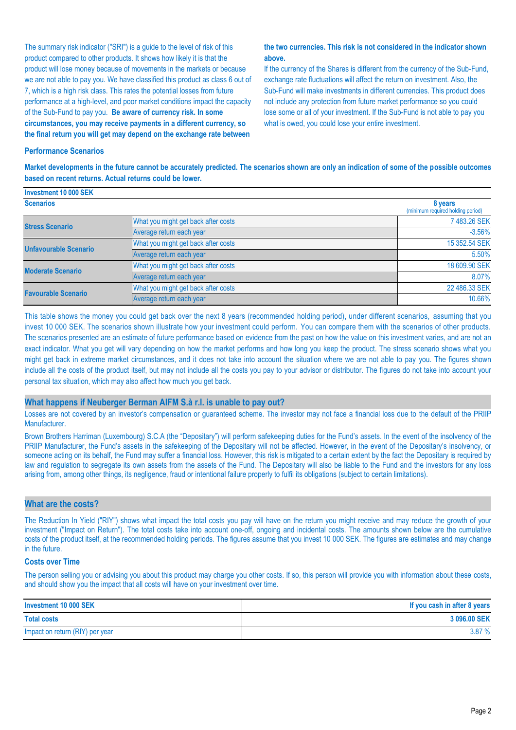The summary risk indicator ("SRI") is a guide to the level of risk of this product compared to other products. It shows how likely it is that the product will lose money because of movements in the markets or because we are not able to pay you. We have classified this product as class 6 out of 7, which is a high risk class. This rates the potential losses from future performance at a high-level, and poor market conditions impact the capacity of the Sub-Fund to pay you. **Be aware of currency risk. In some circumstances, you may receive payments in a different currency, so the final return you will get may depend on the exchange rate between** 

#### **the two currencies. This risk is not considered in the indicator shown above.**

If the currency of the Shares is different from the currency of the Sub-Fund, exchange rate fluctuations will affect the return on investment. Also, the Sub-Fund will make investments in different currencies. This product does not include any protection from future market performance so you could lose some or all of your investment. If the Sub-Fund is not able to pay you what is owed, you could lose your entire investment.

#### **Performance Scenarios**

**Investment 10 000 SEK**

**Market developments in the future cannot be accurately predicted. The scenarios shown are only an indication of some of the possible outcomes based on recent returns. Actual returns could be lower.**

| <b>ILIVESUREIR TU UUU JEN</b> |                                              |               |  |  |  |
|-------------------------------|----------------------------------------------|---------------|--|--|--|
| <b>Scenarios</b>              | 8 years<br>(minimum required holding period) |               |  |  |  |
| <b>Stress Scenario</b>        | What you might get back after costs          | 7 483.26 SEK  |  |  |  |
|                               | Average return each year                     | $-3.56%$      |  |  |  |
| <b>Unfavourable Scenario</b>  | What you might get back after costs          | 15 352.54 SEK |  |  |  |
|                               | Average return each year                     | 5.50%         |  |  |  |
| <b>Moderate Scenario</b>      | What you might get back after costs          | 18 609.90 SEK |  |  |  |
|                               | Average return each year                     | 8.07%         |  |  |  |
| <b>Favourable Scenario</b>    | What you might get back after costs          | 22 486.33 SEK |  |  |  |
|                               | Average return each year                     | 10.66%        |  |  |  |

This table shows the money you could get back over the next 8 years (recommended holding period), under different scenarios, assuming that you invest 10 000 SEK. The scenarios shown illustrate how your investment could perform. You can compare them with the scenarios of other products. The scenarios presented are an estimate of future performance based on evidence from the past on how the value on this investment varies, and are not an exact indicator. What you get will vary depending on how the market performs and how long you keep the product. The stress scenario shows what you might get back in extreme market circumstances, and it does not take into account the situation where we are not able to pay you. The figures shown include all the costs of the product itself, but may not include all the costs you pay to your advisor or distributor. The figures do not take into account your personal tax situation, which may also affect how much you get back.

#### **What happens if Neuberger Berman AIFM S.à r.l. is unable to pay out?**

Losses are not covered by an investor's compensation or guaranteed scheme. The investor may not face a financial loss due to the default of the PRIIP Manufacturer.

Brown Brothers Harriman (Luxembourg) S.C.A (the "Depositary") will perform safekeeping duties for the Fund's assets. In the event of the insolvency of the PRIIP Manufacturer, the Fund's assets in the safekeeping of the Depositary will not be affected. However, in the event of the Depositary's insolvency, or someone acting on its behalf, the Fund may suffer a financial loss. However, this risk is mitigated to a certain extent by the fact the Depositary is required by law and regulation to segregate its own assets from the assets of the Fund. The Depositary will also be liable to the Fund and the investors for any loss arising from, among other things, its negligence, fraud or intentional failure properly to fulfil its obligations (subject to certain limitations).

#### **What are the costs?**

The Reduction In Yield ("RIY") shows what impact the total costs you pay will have on the return you might receive and may reduce the growth of your investment ("Impact on Return"). The total costs take into account one-off, ongoing and incidental costs. The amounts shown below are the cumulative costs of the product itself, at the recommended holding periods. The figures assume that you invest 10 000 SEK. The figures are estimates and may change in the future.

#### **Costs over Time**

The person selling you or advising you about this product may charge you other costs. If so, this person will provide you with information about these costs, and should show you the impact that all costs will have on your investment over time.

| Investment 10 000 SEK           | If you cash in after 8 years |
|---------------------------------|------------------------------|
| <b>Total costs</b>              | 3 096,00 SEK                 |
| Impact on return (RIY) per year | 3.87%                        |